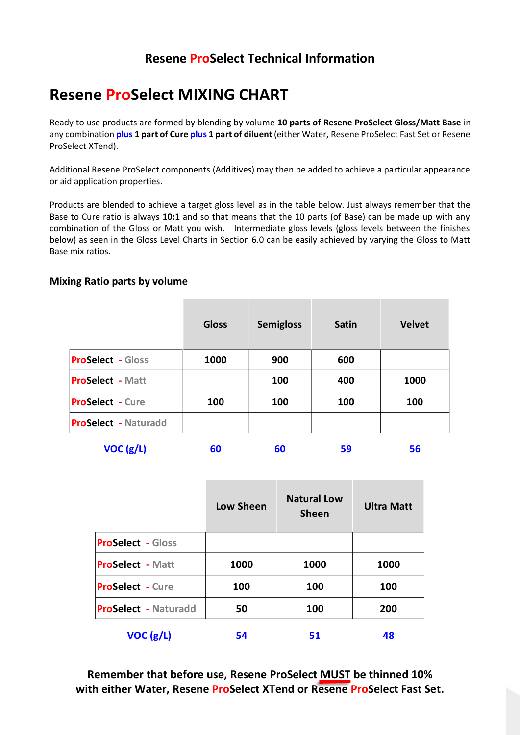## **Resene ProSelect Technical Information**

## **Resene ProSelect MIXING CHART**

Ready to use products are formed by blending by volume **10 parts of Resene ProSelect Gloss/Matt Base** in any combination **plus 1 part of Cure plus 1 part of diluent**(either Water, Resene ProSelect Fast Set or Resene ProSelect XTend).

Additional Resene ProSelect components (Additives) may then be added to achieve a particular appearance or aid application properties.

Products are blended to achieve a target gloss level as in the table below. Just always remember that the Base to Cure ratio is always **10:1** and so that means that the 10 parts (of Base) can be made up with any combination of the Gloss or Matt you wish. Intermediate gloss levels (gloss levels between the finishes below) as seen in the Gloss Level Charts in Section 6.0 can be easily achieved by varying the Gloss to Matt Base mix ratios.

## **Mixing Ratio parts by volume**

| <b>Gloss</b> | <b>Semigloss</b> | <b>Satin</b> | <b>Velvet</b> |
|--------------|------------------|--------------|---------------|
| 1000         | 900              | 600          |               |
|              | 100              | 400          | 1000          |
| 100          | 100              | 100          | 100           |
|              |                  |              |               |
|              |                  |              |               |

**VOC (g/L) 60 60 59 56**

|                             | <b>Low Sheen</b> | <b>Natural Low</b><br><b>Sheen</b> | <b>Ultra Matt</b> |
|-----------------------------|------------------|------------------------------------|-------------------|
| <b>ProSelect - Gloss</b>    |                  |                                    |                   |
| <b>ProSelect - Matt</b>     | 1000             | 1000                               | 1000              |
| <b>ProSelect - Cure</b>     | 100              | 100                                | 100               |
| <b>ProSelect - Naturadd</b> | 50               | 100                                | 200               |
| VOC(g/L)                    | 54               | 51                                 | 48                |

**Remember that before use, Resene ProSelect MUST be thinned 10% with either Water, Resene ProSelect XTend or Resene ProSelect Fast Set.**